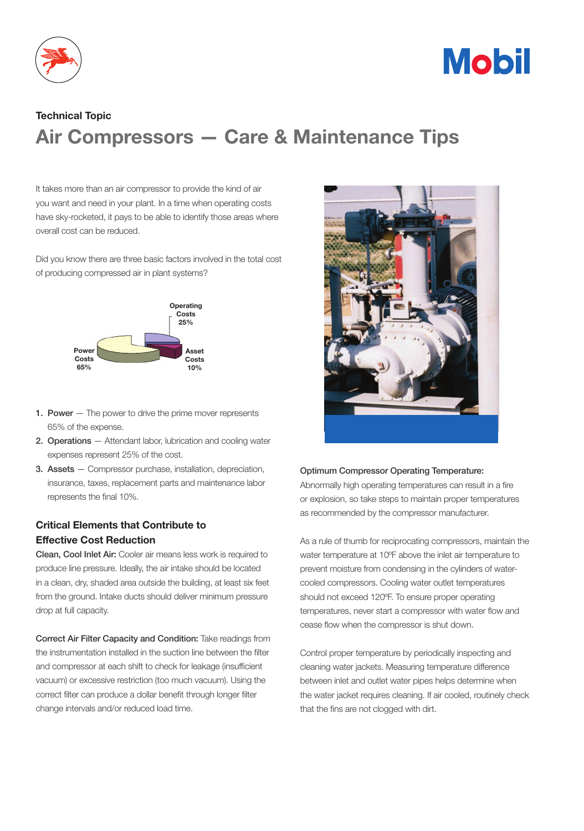



# Technical Topic Air Compressors — Care & Maintenance Tips

It takes more than an air compressor to provide the kind of air you want and need in your plant. In a time when operating costs have sky-rocketed, it pays to be able to identify those areas where overall cost can be reduced.

Did you know there are three basic factors involved in the total cost of producing compressed air in plant systems?



- **1. Power**  $-$  The power to drive the prime mover represents 65% of the expense.
- 2. Operations Attendant labor, lubrication and cooling water expenses represent 25% of the cost.
- 3. Assets Compressor purchase, installation, depreciation, insurance, taxes, replacement parts and maintenance labor represents the final 10%.

## Critical Elements that Contribute to Effective Cost Reduction

Clean, Cool Inlet Air: Cooler air means less work is required to produce line pressure. Ideally, the air intake should be located in a clean, dry, shaded area outside the building, at least six feet from the ground. Intake ducts should deliver minimum pressure drop at full capacity.

Correct Air Filter Capacity and Condition: Take readings from the instrumentation installed in the suction line between the filter and compressor at each shift to check for leakage (insufficient vacuum) or excessive restriction (too much vacuum). Using the correct filter can produce a dollar benefit through longer filter change intervals and/or reduced load time.



#### Optimum Compressor Operating Temperature:

Abnormally high operating temperatures can result in a fire or explosion, so take steps to maintain proper temperatures as recommended by the compressor manufacturer.

As a rule of thumb for reciprocating compressors, maintain the water temperature at 10ºF above the inlet air temperature to prevent moisture from condensing in the cylinders of watercooled compressors. Cooling water outlet temperatures should not exceed 120ºF. To ensure proper operating temperatures, never start a compressor with water flow and cease flow when the compressor is shut down.

Control proper temperature by periodically inspecting and cleaning water jackets. Measuring temperature difference between inlet and outlet water pipes helps determine when the water jacket requires cleaning. If air cooled, routinely check that the fins are not clogged with dirt.